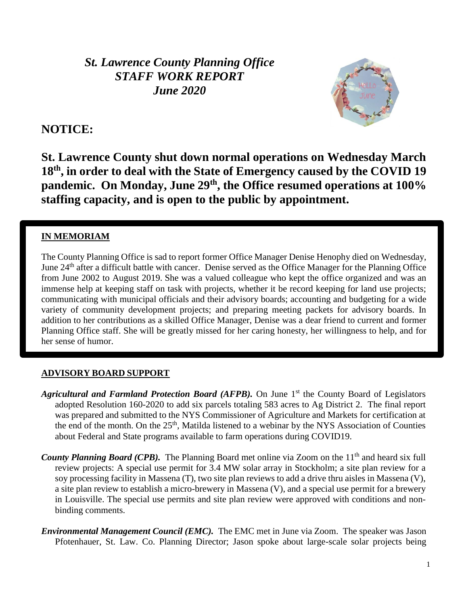*St. Lawrence County Planning Office STAFF WORK REPORT June 2020*



# **NOTICE:**

**St. Lawrence County shut down normal operations on Wednesday March 18th, in order to deal with the State of Emergency caused by the COVID 19 pandemic. On Monday, June 29th, the Office resumed operations at 100% staffing capacity, and is open to the public by appointment.**

# **IN MEMORIAM**

The County Planning Office is sad to report former Office Manager Denise Henophy died on Wednesday, June 24th after a difficult battle with cancer. Denise served as the Office Manager for the Planning Office from June 2002 to August 2019. She was a valued colleague who kept the office organized and was an immense help at keeping staff on task with projects, whether it be record keeping for land use projects; communicating with municipal officials and their advisory boards; accounting and budgeting for a wide variety of community development projects; and preparing meeting packets for advisory boards. In addition to her contributions as a skilled Office Manager, Denise was a dear friend to current and former Planning Office staff. She will be greatly missed for her caring honesty, her willingness to help, and for her sense of humor.

#### **ADVISORY BOARD SUPPORT**

- Agricultural and Farmland Protection Board (AFPB). On June 1<sup>st</sup> the County Board of Legislators adopted Resolution 160-2020 to add six parcels totaling 583 acres to Ag District 2. The final report was prepared and submitted to the NYS Commissioner of Agriculture and Markets for certification at the end of the month. On the 25<sup>th</sup>, Matilda listened to a webinar by the NYS Association of Counties about Federal and State programs available to farm operations during COVID19.
- County Planning Board (CPB). The Planning Board met online via Zoom on the 11<sup>th</sup> and heard six full review projects: A special use permit for 3.4 MW solar array in Stockholm; a site plan review for a soy processing facility in Massena (T), two site plan reviews to add a drive thru aisles in Massena (V), a site plan review to establish a micro-brewery in Massena (V), and a special use permit for a brewery in Louisville. The special use permits and site plan review were approved with conditions and nonbinding comments.
- *Environmental Management Council (EMC).* The EMC met in June via Zoom. The speaker was Jason Pfotenhauer, St. Law. Co. Planning Director; Jason spoke about large-scale solar projects being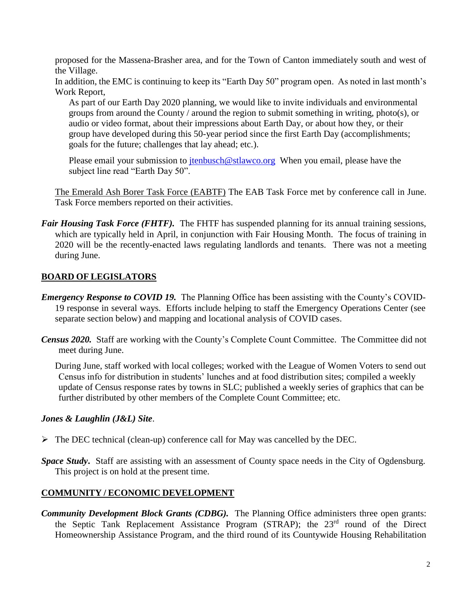proposed for the Massena-Brasher area, and for the Town of Canton immediately south and west of the Village.

In addition, the EMC is continuing to keep its "Earth Day 50" program open. As noted in last month's Work Report,

As part of our Earth Day 2020 planning, we would like to invite individuals and environmental groups from around the County / around the region to submit something in writing, photo(s), or audio or video format, about their impressions about Earth Day, or about how they, or their group have developed during this 50-year period since the first Earth Day (accomplishments; goals for the future; challenges that lay ahead; etc.).

Please email your submission to *jtenbusch@stlawco.org* When you email, please have the subject line read "Earth Day 50".

The Emerald Ash Borer Task Force (EABTF) The EAB Task Force met by conference call in June. Task Force members reported on their activities.

*Fair Housing Task Force (FHTF).* The FHTF has suspended planning for its annual training sessions, which are typically held in April, in conjunction with Fair Housing Month. The focus of training in 2020 will be the recently-enacted laws regulating landlords and tenants. There was not a meeting during June.

#### **BOARD OF LEGISLATORS**

- *Emergency Response to COVID 19.* The Planning Office has been assisting with the County's COVID-19 response in several ways. Efforts include helping to staff the Emergency Operations Center (see separate section below) and mapping and locational analysis of COVID cases.
- *Census 2020.* Staff are working with the County's Complete Count Committee. The Committee did not meet during June.

During June, staff worked with local colleges; worked with the League of Women Voters to send out Census info for distribution in students' lunches and at food distribution sites; compiled a weekly update of Census response rates by towns in SLC; published a weekly series of graphics that can be further distributed by other members of the Complete Count Committee; etc.

#### *Jones & Laughlin (J&L) Site*.

- $\triangleright$  The DEC technical (clean-up) conference call for May was cancelled by the DEC.
- *Space Study***.** Staff are assisting with an assessment of County space needs in the City of Ogdensburg. This project is on hold at the present time.

#### **COMMUNITY / ECONOMIC DEVELOPMENT**

*Community Development Block Grants (CDBG).* The Planning Office administers three open grants: the Septic Tank Replacement Assistance Program (STRAP); the 23rd round of the Direct Homeownership Assistance Program, and the third round of its Countywide Housing Rehabilitation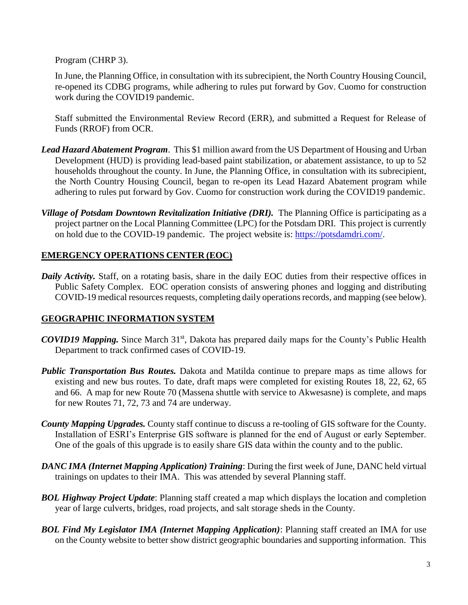Program (CHRP 3).

In June, the Planning Office, in consultation with its subrecipient, the North Country Housing Council, re-opened its CDBG programs, while adhering to rules put forward by Gov. Cuomo for construction work during the COVID19 pandemic.

Staff submitted the Environmental Review Record (ERR), and submitted a Request for Release of Funds (RROF) from OCR.

- *Lead Hazard Abatement Program*. This \$1 million award from the US Department of Housing and Urban Development (HUD) is providing lead-based paint stabilization, or abatement assistance, to up to 52 households throughout the county. In June, the Planning Office, in consultation with its subrecipient, the North Country Housing Council, began to re-open its Lead Hazard Abatement program while adhering to rules put forward by Gov. Cuomo for construction work during the COVID19 pandemic.
- *Village of Potsdam Downtown Revitalization Initiative (DRI).* The Planning Office is participating as a project partner on the Local Planning Committee (LPC) for the Potsdam DRI. This project is currently on hold due to the COVID-19 pandemic. The project website is: [https://potsdamdri.com/.](https://potsdamdri.com/)

# **EMERGENCY OPERATIONS CENTER (EOC)**

*Daily Activity.* Staff, on a rotating basis, share in the daily EOC duties from their respective offices in Public Safety Complex. EOC operation consists of answering phones and logging and distributing COVID-19 medical resources requests, completing daily operations records, and mapping (see below).

# **GEOGRAPHIC INFORMATION SYSTEM**

- *COVID19 Mapping.* Since March 31<sup>st</sup>, Dakota has prepared daily maps for the County's Public Health Department to track confirmed cases of COVID-19.
- *Public Transportation Bus Routes.* Dakota and Matilda continue to prepare maps as time allows for existing and new bus routes. To date, draft maps were completed for existing Routes 18, 22, 62, 65 and 66. A map for new Route 70 (Massena shuttle with service to Akwesasne) is complete, and maps for new Routes 71, 72, 73 and 74 are underway.
- *County Mapping Upgrades.* County staff continue to discuss a re-tooling of GIS software for the County. Installation of ESRI's Enterprise GIS software is planned for the end of August or early September. One of the goals of this upgrade is to easily share GIS data within the county and to the public.
- *DANC IMA (Internet Mapping Application) Training*: During the first week of June, DANC held virtual trainings on updates to their IMA. This was attended by several Planning staff.
- *BOL Highway Project Update*: Planning staff created a map which displays the location and completion year of large culverts, bridges, road projects, and salt storage sheds in the County.
- *BOL Find My Legislator IMA (Internet Mapping Application)*: Planning staff created an IMA for use on the County website to better show district geographic boundaries and supporting information. This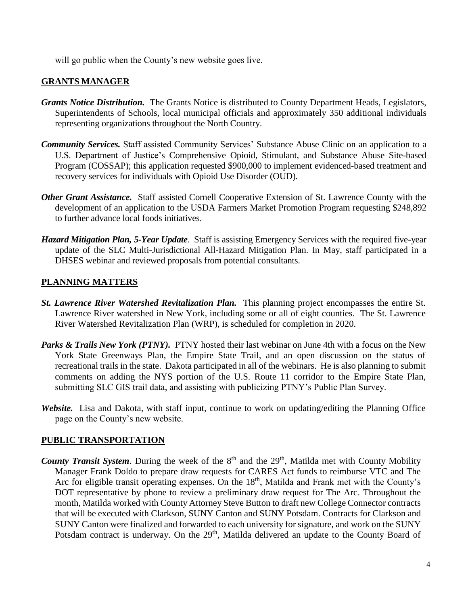will go public when the County's new website goes live.

### **GRANTS MANAGER**

- *Grants Notice Distribution.* The Grants Notice is distributed to County Department Heads, Legislators, Superintendents of Schools, local municipal officials and approximately 350 additional individuals representing organizations throughout the North Country.
- *Community Services.* Staff assisted Community Services' Substance Abuse Clinic on an application to a U.S. Department of Justice's Comprehensive Opioid, Stimulant, and Substance Abuse Site-based Program (COSSAP); this application requested \$900,000 to implement evidenced-based treatment and recovery services for individuals with Opioid Use Disorder (OUD).
- *Other Grant Assistance.* Staff assisted Cornell Cooperative Extension of St. Lawrence County with the development of an application to the USDA Farmers Market Promotion Program requesting \$248,892 to further advance local foods initiatives.
- *Hazard Mitigation Plan, 5-Year Update*. Staff is assisting Emergency Services with the required five-year update of the SLC Multi-Jurisdictional All-Hazard Mitigation Plan. In May, staff participated in a DHSES webinar and reviewed proposals from potential consultants.

### **PLANNING MATTERS**

- *St. Lawrence River Watershed Revitalization Plan.* This planning project encompasses the entire St. Lawrence River watershed in New York, including some or all of eight counties. The St. Lawrence River Watershed Revitalization Plan (WRP), is scheduled for completion in 2020.
- *Parks & Trails New York (PTNY).* PTNY hosted their last webinar on June 4th with a focus on the New York State Greenways Plan, the Empire State Trail, and an open discussion on the status of recreational trails in the state. Dakota participated in all of the webinars. He is also planning to submit comments on adding the NYS portion of the U.S. Route 11 corridor to the Empire State Plan, submitting SLC GIS trail data, and assisting with publicizing PTNY's Public Plan Survey.
- *Website.* Lisa and Dakota, with staff input, continue to work on updating/editing the Planning Office page on the County's new website.

#### **PUBLIC TRANSPORTATION**

*County Transit System*. During the week of the 8<sup>th</sup> and the 29<sup>th</sup>, Matilda met with County Mobility Manager Frank Doldo to prepare draw requests for CARES Act funds to reimburse VTC and The Arc for eligible transit operating expenses. On the 18<sup>th</sup>, Matilda and Frank met with the County's DOT representative by phone to review a preliminary draw request for The Arc. Throughout the month, Matilda worked with County Attorney Steve Button to draft new College Connector contracts that will be executed with Clarkson, SUNY Canton and SUNY Potsdam. Contracts for Clarkson and SUNY Canton were finalized and forwarded to each university for signature, and work on the SUNY Potsdam contract is underway. On the 29<sup>th</sup>, Matilda delivered an update to the County Board of